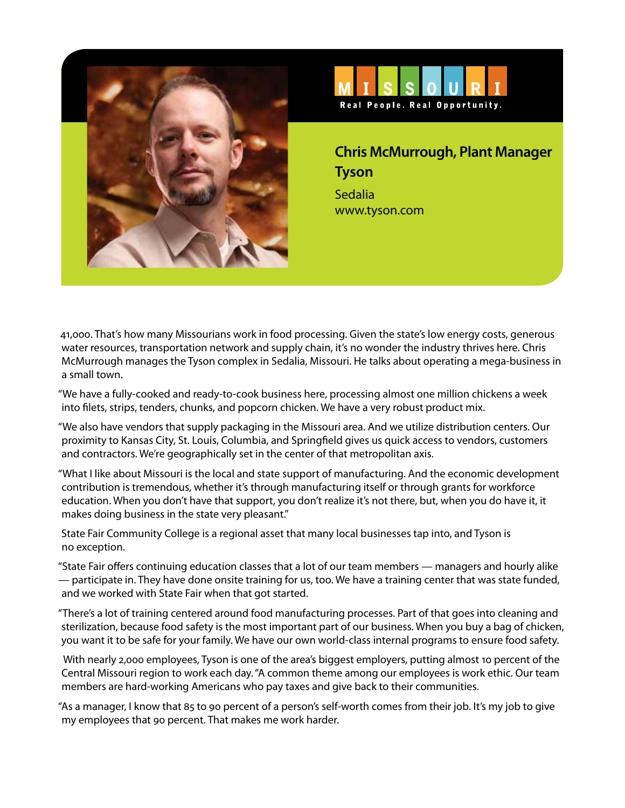



**Chris McMurrough, Plant Manager Tyson** Sedalia www.tyson.com

41,000. That's how many Missourians work in food processing. Given the state's low energy costs, generous water resources, transportation network and supply chain, it's no wonder the industry thrives here. Chris McMurrough manages the Tyson complex in Sedalia, Missouri. He talks about operating a mega-business in a small town.

"We have a fully-cooked and ready-to-cook business here, processing almost one million chickens a week into filets, strips, tenders, chunks, and popcorn chicken. We have a very robust product mix.

"We also have vendors that supply packaging in the Missouri area. And we utilize distribution centers. Our proximity to Kansas City, St. Louis, Columbia, and Springfield gives us quick access to vendors, customers and contractors. We're geographically set in the center of that metropolitan axis.

"What I like about Missouri is the local and state support of manufacturing. And the economic development contribution is tremendous, whether it's through manufacturing itself or through grants for workforce education. When you don't have that support, you don't realize it's not there, but, when you do have it, it makes doing business in the state very pleasant."

State Fair Community College is a regional asset that many local businesses tap into, and Tyson is no exception.

"State Fair offers continuing education classes that a lot of our team members — managers and hourly alike — participate in. They have done onsite training for us, too. We have a training center that was state funded, and we worked with State Fair when that got started.

"There's a lot of training centered around food manufacturing processes. Part of that goes into cleaning and sterilization, because food safety is the most important part of our business. When you buy a bag of chicken, you want it to be safe for your family. We have our own world-class internal programs to ensure food safety.

 With nearly 2,000 employees, Tyson is one of the area's biggest employers, putting almost 10 percent of the Central Missouri region to work each day. "A common theme among our employees is work ethic. Our team members are hard-working Americans who pay taxes and give back to their communities.

"As a manager, I know that 85 to 90 percent of a person's self-worth comes from their job. It's my job to give my employees that 90 percent. That makes me work harder.